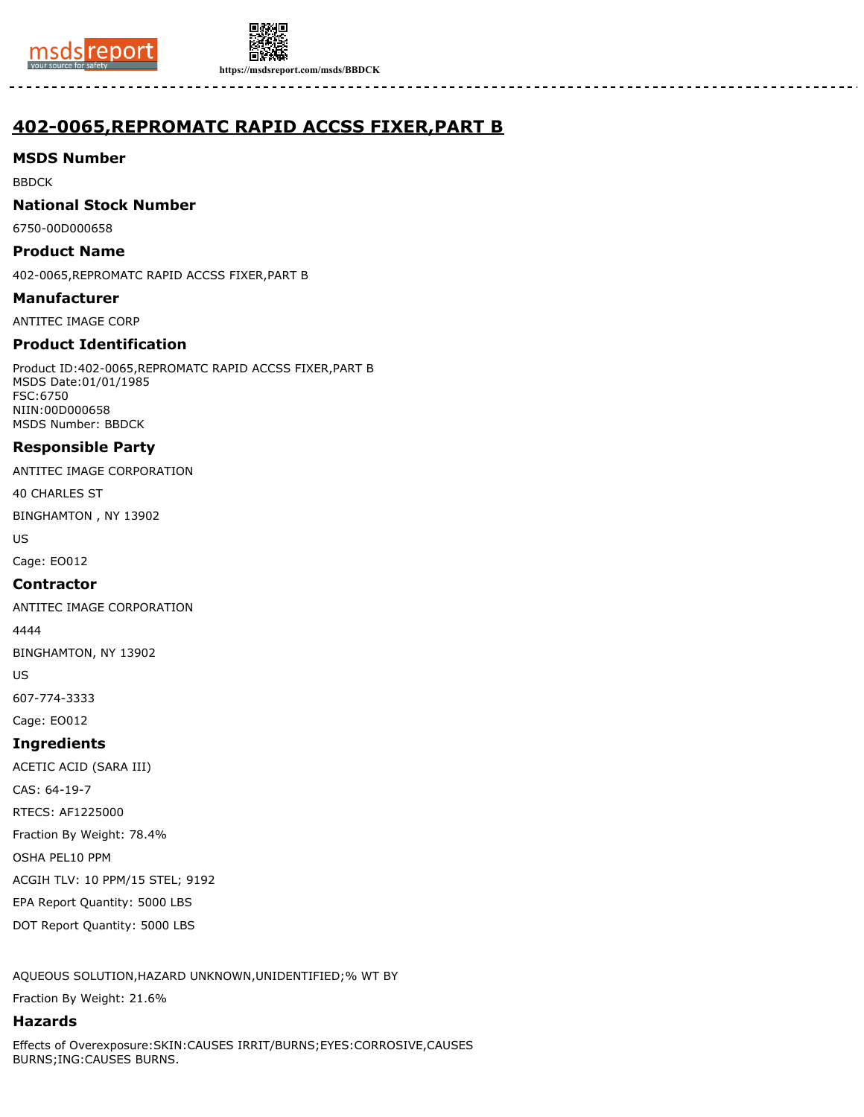



**https://msdsreport.com/msds/BBDCK**

# **402-0065,REPROMATC RAPID ACCSS FIXER,PART B**

## **MSDS Number**

BBDCK

## **National Stock Number**

6750-00D000658

## **Product Name**

402-0065,REPROMATC RAPID ACCSS FIXER,PART B

#### **Manufacturer**

ANTITEC IMAGE CORP

## **Product Identification**

Product ID:402-0065,REPROMATC RAPID ACCSS FIXER,PART B MSDS Date:01/01/1985 FSC:6750 NIIN:00D000658 MSDS Number: BBDCK

## **Responsible Party**

ANTITEC IMAGE CORPORATION

40 CHARLES ST

BINGHAMTON , NY 13902

US

Cage: EO012

## **Contractor**

ANTITEC IMAGE CORPORATION

4444

BINGHAMTON, NY 13902

US

607-774-3333

Cage: EO012

## **Ingredients**

ACETIC ACID (SARA III)

CAS: 64-19-7

RTECS: AF1225000

Fraction By Weight: 78.4%

OSHA PEL10 PPM

ACGIH TLV: 10 PPM/15 STEL; 9192

EPA Report Quantity: 5000 LBS

DOT Report Quantity: 5000 LBS

AQUEOUS SOLUTION,HAZARD UNKNOWN,UNIDENTIFIED;% WT BY

Fraction By Weight: 21.6%

## **Hazards**

Effects of Overexposure:SKIN:CAUSES IRRIT/BURNS;EYES:CORROSIVE,CAUSES BURNS;ING:CAUSES BURNS.